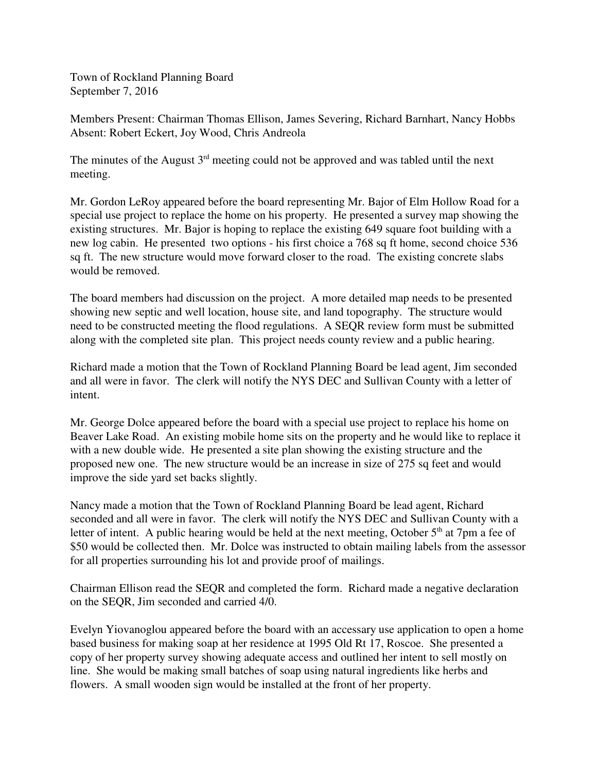Town of Rockland Planning Board September 7, 2016

Members Present: Chairman Thomas Ellison, James Severing, Richard Barnhart, Nancy Hobbs Absent: Robert Eckert, Joy Wood, Chris Andreola

The minutes of the August  $3<sup>rd</sup>$  meeting could not be approved and was tabled until the next meeting.

Mr. Gordon LeRoy appeared before the board representing Mr. Bajor of Elm Hollow Road for a special use project to replace the home on his property. He presented a survey map showing the existing structures. Mr. Bajor is hoping to replace the existing 649 square foot building with a new log cabin. He presented two options - his first choice a 768 sq ft home, second choice 536 sq ft. The new structure would move forward closer to the road. The existing concrete slabs would be removed.

The board members had discussion on the project. A more detailed map needs to be presented showing new septic and well location, house site, and land topography. The structure would need to be constructed meeting the flood regulations. A SEQR review form must be submitted along with the completed site plan. This project needs county review and a public hearing.

Richard made a motion that the Town of Rockland Planning Board be lead agent, Jim seconded and all were in favor. The clerk will notify the NYS DEC and Sullivan County with a letter of intent.

Mr. George Dolce appeared before the board with a special use project to replace his home on Beaver Lake Road. An existing mobile home sits on the property and he would like to replace it with a new double wide. He presented a site plan showing the existing structure and the proposed new one. The new structure would be an increase in size of 275 sq feet and would improve the side yard set backs slightly.

Nancy made a motion that the Town of Rockland Planning Board be lead agent, Richard seconded and all were in favor. The clerk will notify the NYS DEC and Sullivan County with a letter of intent. A public hearing would be held at the next meeting, October  $5<sup>th</sup>$  at 7pm a fee of \$50 would be collected then. Mr. Dolce was instructed to obtain mailing labels from the assessor for all properties surrounding his lot and provide proof of mailings.

Chairman Ellison read the SEQR and completed the form. Richard made a negative declaration on the SEQR, Jim seconded and carried 4/0.

Evelyn Yiovanoglou appeared before the board with an accessary use application to open a home based business for making soap at her residence at 1995 Old Rt 17, Roscoe. She presented a copy of her property survey showing adequate access and outlined her intent to sell mostly on line. She would be making small batches of soap using natural ingredients like herbs and flowers. A small wooden sign would be installed at the front of her property.